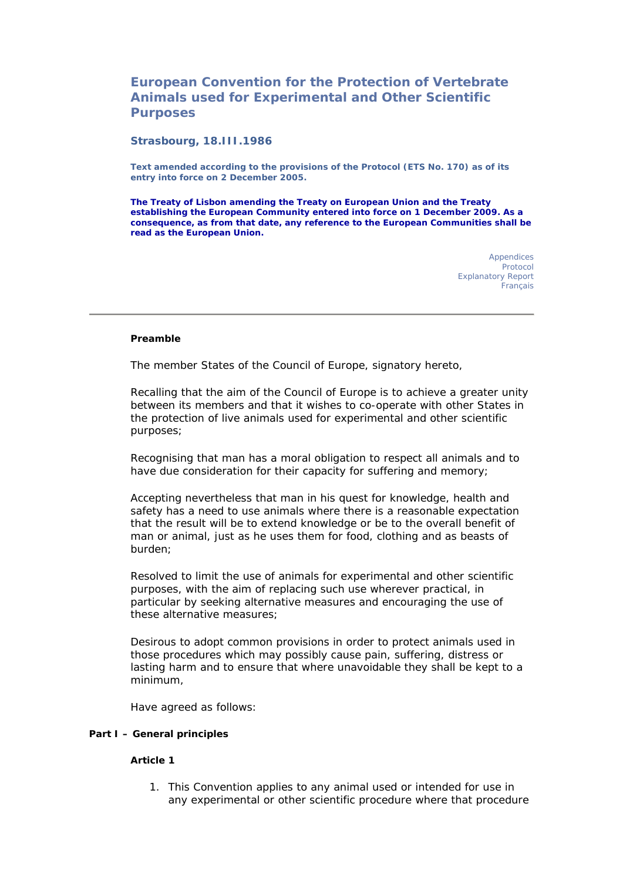# **European Convention for the Protection of Vertebrate Animals used for Experimental and Other Scientific Purposes**

#### **Strasbourg, 18.III.1986**

**Text amended according to the provisions of the Protocol (ETS No. 170) as of its entry into force on 2 December 2005.** 

**The Treaty of Lisbon amending the Treaty on European Union and the Treaty establishing the European Community entered into force on 1 December 2009. As a consequence, as from that date, any reference to the European Communities shall be read as the European Union.**

> Appendices Protocol Explanatory Report **Francais**

#### **Preamble**

The member States of the Council of Europe, signatory hereto,

Recalling that the aim of the Council of Europe is to achieve a greater unity between its members and that it wishes to co-operate with other States in the protection of live animals used for experimental and other scientific purposes;

Recognising that man has a moral obligation to respect all animals and to have due consideration for their capacity for suffering and memory;

Accepting nevertheless that man in his quest for knowledge, health and safety has a need to use animals where there is a reasonable expectation that the result will be to extend knowledge or be to the overall benefit of man or animal, just as he uses them for food, clothing and as beasts of burden;

Resolved to limit the use of animals for experimental and other scientific purposes, with the aim of replacing such use wherever practical, in particular by seeking alternative measures and encouraging the use of these alternative measures;

Desirous to adopt common provisions in order to protect animals used in those procedures which may possibly cause pain, suffering, distress or lasting harm and to ensure that where unavoidable they shall be kept to a minimum,

Have agreed as follows:

#### **Part I – General principles**

#### **Article 1**

1. This Convention applies to any animal used or intended for use in any experimental or other scientific procedure where that procedure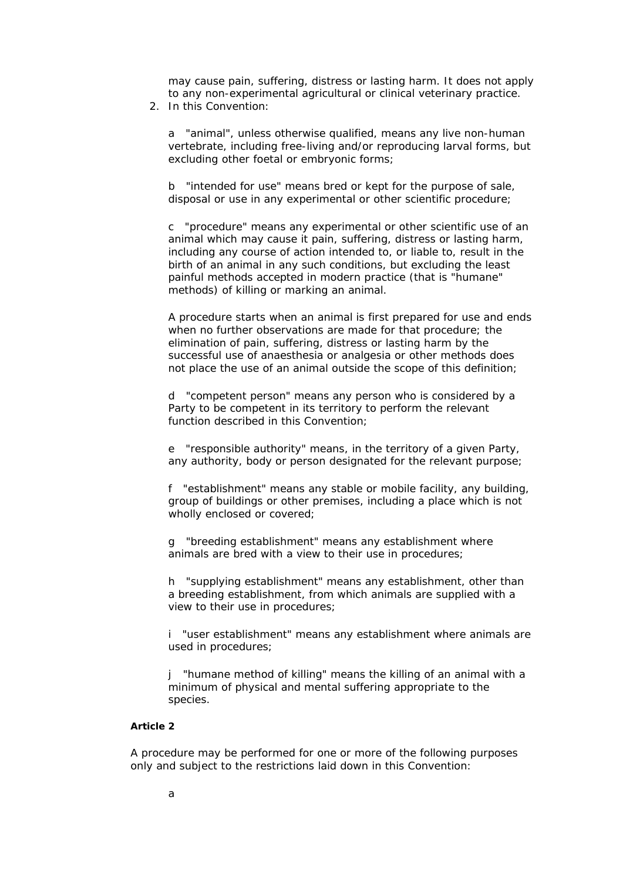may cause pain, suffering, distress or lasting harm. It does not apply to any non-experimental agricultural or clinical veterinary practice.

2. In this Convention:

a "*animal*", unless otherwise qualified, means any live non-human vertebrate, including free-living and/or reproducing larval forms, but excluding other foetal or embryonic forms;

b "*intended for use*" means bred or kept for the purpose of sale, disposal or use in any experimental or other scientific procedure;

c "*procedure*" means any experimental or other scientific use of an animal which may cause it pain, suffering, distress or lasting harm, including any course of action intended to, or liable to, result in the birth of an animal in any such conditions, but excluding the least painful methods accepted in modern practice (that is "humane" methods) of killing or marking an animal.

A procedure starts when an animal is first prepared for use and ends when no further observations are made for that procedure; the elimination of pain, suffering, distress or lasting harm by the successful use of anaesthesia or analgesia or other methods does not place the use of an animal outside the scope of this definition;

d "*competent person*" means any person who is considered by a Party to be competent in its territory to perform the relevant function described in this Convention;

e "*responsible authority*" means, in the territory of a given Party, any authority, body or person designated for the relevant purpose;

f "*establishment*" means any stable or mobile facility, any building, group of buildings or other premises, including a place which is not wholly enclosed or covered;

g "*breeding establishment*" means any establishment where animals are bred with a view to their use in procedures;

h "*supplying establishment*" means any establishment, other than a breeding establishment, from which animals are supplied with a view to their use in procedures;

i "*user establishment*" means any establishment where animals are used in procedures;

j "*humane method of killing*" means the killing of an animal with a minimum of physical and mental suffering appropriate to the species.

# **Article 2**

A procedure may be performed for one or more of the following purposes only and subject to the restrictions laid down in this Convention: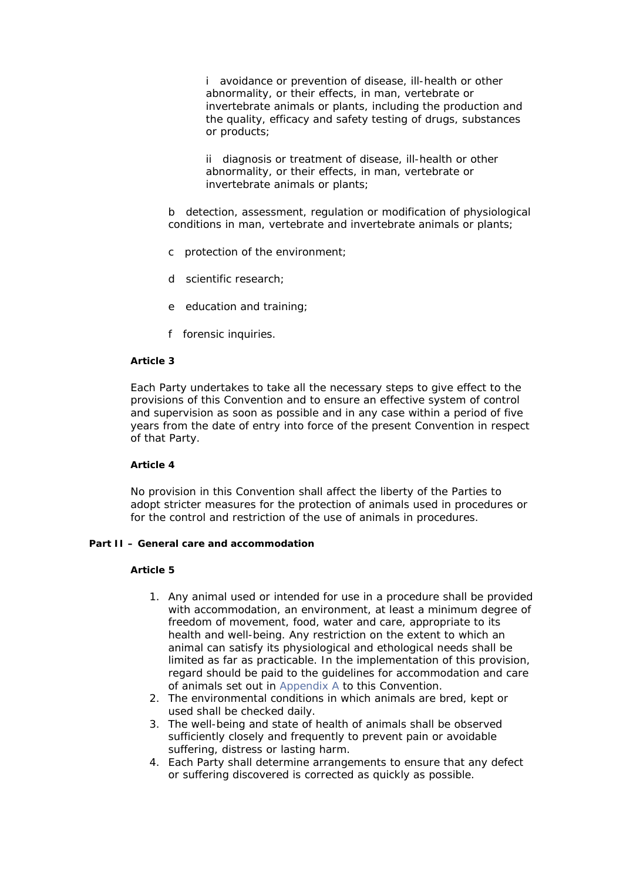i avoidance or prevention of disease, ill-health or other abnormality, or their effects, in man, vertebrate or invertebrate animals or plants, including the production and the quality, efficacy and safety testing of drugs, substances or products;

ii diagnosis or treatment of disease, ill-health or other abnormality, or their effects, in man, vertebrate or invertebrate animals or plants;

b detection, assessment, regulation or modification of physiological conditions in man, vertebrate and invertebrate animals or plants;

- c protection of the environment;
- d scientific research;
- e education and training;
- f forensic inquiries.

#### **Article 3**

Each Party undertakes to take all the necessary steps to give effect to the provisions of this Convention and to ensure an effective system of control and supervision as soon as possible and in any case within a period of five years from the date of entry into force of the present Convention in respect of that Party.

## **Article 4**

No provision in this Convention shall affect the liberty of the Parties to adopt stricter measures for the protection of animals used in procedures or for the control and restriction of the use of animals in procedures.

## **Part II – General care and accommodation**

- 1. Any animal used or intended for use in a procedure shall be provided with accommodation, an environment, at least a minimum degree of freedom of movement, food, water and care, appropriate to its health and well-being. Any restriction on the extent to which an animal can satisfy its physiological and ethological needs shall be limited as far as practicable. In the implementation of this provision, regard should be paid to the guidelines for accommodation and care of animals set out in Appendix A to this Convention.
- 2. The environmental conditions in which animals are bred, kept or used shall be checked daily.
- 3. The well-being and state of health of animals shall be observed sufficiently closely and frequently to prevent pain or avoidable suffering, distress or lasting harm.
- 4. Each Party shall determine arrangements to ensure that any defect or suffering discovered is corrected as quickly as possible.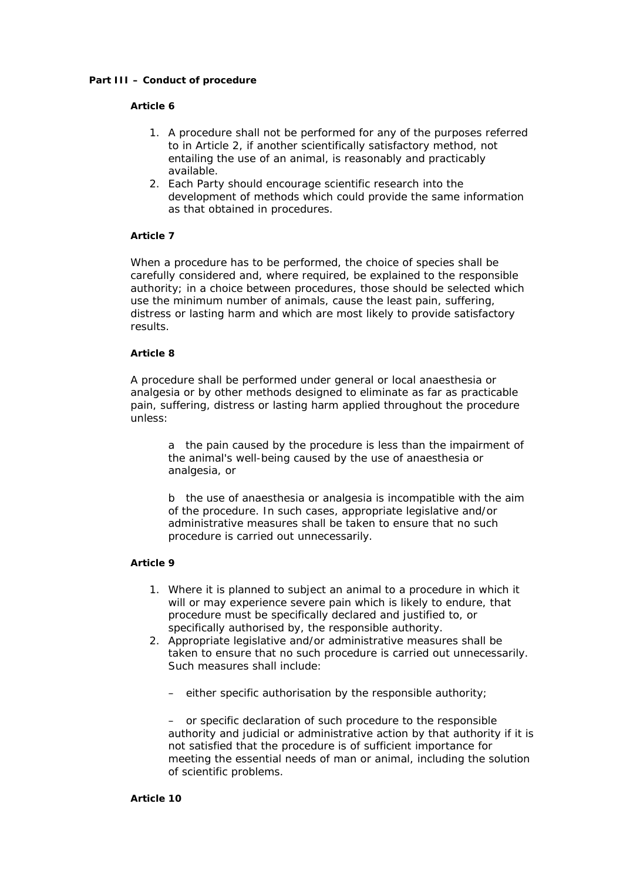#### **Part III – Conduct of procedure**

#### **Article 6**

- 1. A procedure shall not be performed for any of the purposes referred to in Article 2, if another scientifically satisfactory method, not entailing the use of an animal, is reasonably and practicably available.
- 2. Each Party should encourage scientific research into the development of methods which could provide the same information as that obtained in procedures.

## **Article 7**

When a procedure has to be performed, the choice of species shall be carefully considered and, where required, be explained to the responsible authority; in a choice between procedures, those should be selected which use the minimum number of animals, cause the least pain, suffering, distress or lasting harm and which are most likely to provide satisfactory results.

#### **Article 8**

A procedure shall be performed under general or local anaesthesia or analgesia or by other methods designed to eliminate as far as practicable pain, suffering, distress or lasting harm applied throughout the procedure unless:

a the pain caused by the procedure is less than the impairment of the animal's well-being caused by the use of anaesthesia or analgesia, or

b the use of anaesthesia or analgesia is incompatible with the aim of the procedure. In such cases, appropriate legislative and/or administrative measures shall be taken to ensure that no such procedure is carried out unnecessarily.

#### **Article 9**

- 1. Where it is planned to subject an animal to a procedure in which it will or may experience severe pain which is likely to endure, that procedure must be specifically declared and justified to, or specifically authorised by, the responsible authority.
- 2. Appropriate legislative and/or administrative measures shall be taken to ensure that no such procedure is carried out unnecessarily. Such measures shall include:
	- either specific authorisation by the responsible authority;

– or specific declaration of such procedure to the responsible authority and judicial or administrative action by that authority if it is not satisfied that the procedure is of sufficient importance for meeting the essential needs of man or animal, including the solution of scientific problems.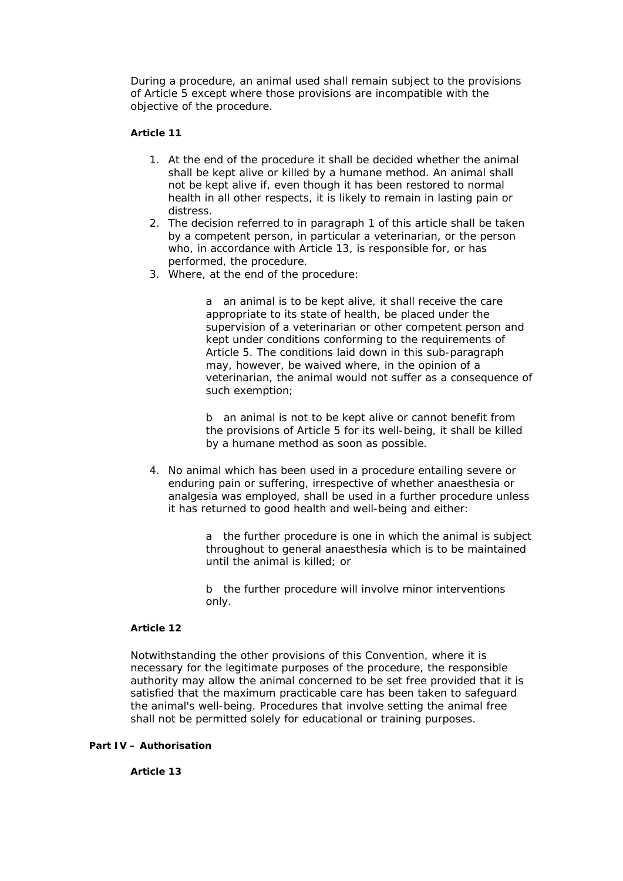During a procedure, an animal used shall remain subject to the provisions of Article 5 except where those provisions are incompatible with the objective of the procedure.

## **Article 11**

- 1. At the end of the procedure it shall be decided whether the animal shall be kept alive or killed by a humane method. An animal shall not be kept alive if, even though it has been restored to normal health in all other respects, it is likely to remain in lasting pain or distress.
- 2. The decision referred to in paragraph 1 of this article shall be taken by a competent person, in particular a veterinarian, or the person who, in accordance with Article 13, is responsible for, or has performed, the procedure.
- 3. Where, at the end of the procedure:

a an animal is to be kept alive, it shall receive the care appropriate to its state of health, be placed under the supervision of a veterinarian or other competent person and kept under conditions conforming to the requirements of Article 5. The conditions laid down in this sub-paragraph may, however, be waived where, in the opinion of a veterinarian, the animal would not suffer as a consequence of such exemption;

b an animal is not to be kept alive or cannot benefit from the provisions of Article 5 for its well-being, it shall be killed by a humane method as soon as possible.

4. No animal which has been used in a procedure entailing severe or enduring pain or suffering, irrespective of whether anaesthesia or analgesia was employed, shall be used in a further procedure unless it has returned to good health and well-being and either:

> a the further procedure is one in which the animal is subject throughout to general anaesthesia which is to be maintained until the animal is killed; or

b the further procedure will involve minor interventions only.

#### **Article 12**

Notwithstanding the other provisions of this Convention, where it is necessary for the legitimate purposes of the procedure, the responsible authority may allow the animal concerned to be set free provided that it is satisfied that the maximum practicable care has been taken to safeguard the animal's well-being. Procedures that involve setting the animal free shall not be permitted solely for educational or training purposes.

#### **Part IV – Authorisation**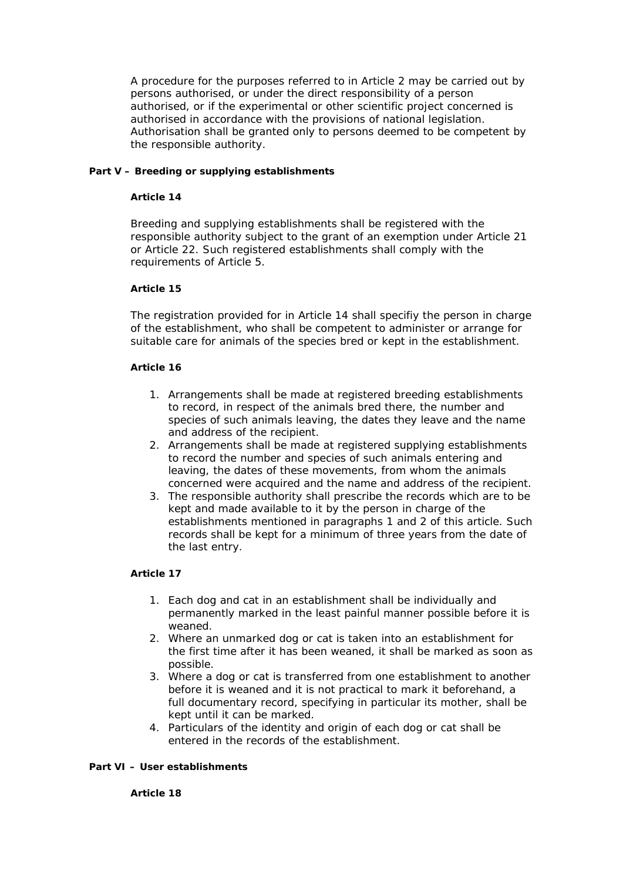A procedure for the purposes referred to in Article 2 may be carried out by persons authorised, or under the direct responsibility of a person authorised, or if the experimental or other scientific project concerned is authorised in accordance with the provisions of national legislation. Authorisation shall be granted only to persons deemed to be competent by the responsible authority.

## **Part V – Breeding or supplying establishments**

#### **Article 14**

Breeding and supplying establishments shall be registered with the responsible authority subject to the grant of an exemption under Article 21 or Article 22. Such registered establishments shall comply with the requirements of Article 5.

## **Article 15**

The registration provided for in Article 14 shall specifiy the person in charge of the establishment, who shall be competent to administer or arrange for suitable care for animals of the species bred or kept in the establishment.

## **Article 16**

- 1. Arrangements shall be made at registered breeding establishments to record, in respect of the animals bred there, the number and species of such animals leaving, the dates they leave and the name and address of the recipient.
- 2. Arrangements shall be made at registered supplying establishments to record the number and species of such animals entering and leaving, the dates of these movements, from whom the animals concerned were acquired and the name and address of the recipient.
- 3. The responsible authority shall prescribe the records which are to be kept and made available to it by the person in charge of the establishments mentioned in paragraphs 1 and 2 of this article. Such records shall be kept for a minimum of three years from the date of the last entry.

## **Article 17**

- 1. Each dog and cat in an establishment shall be individually and permanently marked in the least painful manner possible before it is weaned.
- 2. Where an unmarked dog or cat is taken into an establishment for the first time after it has been weaned, it shall be marked as soon as possible.
- 3. Where a dog or cat is transferred from one establishment to another before it is weaned and it is not practical to mark it beforehand, a full documentary record, specifying in particular its mother, shall be kept until it can be marked.
- 4. Particulars of the identity and origin of each dog or cat shall be entered in the records of the establishment.

## **Part VI – User establishments**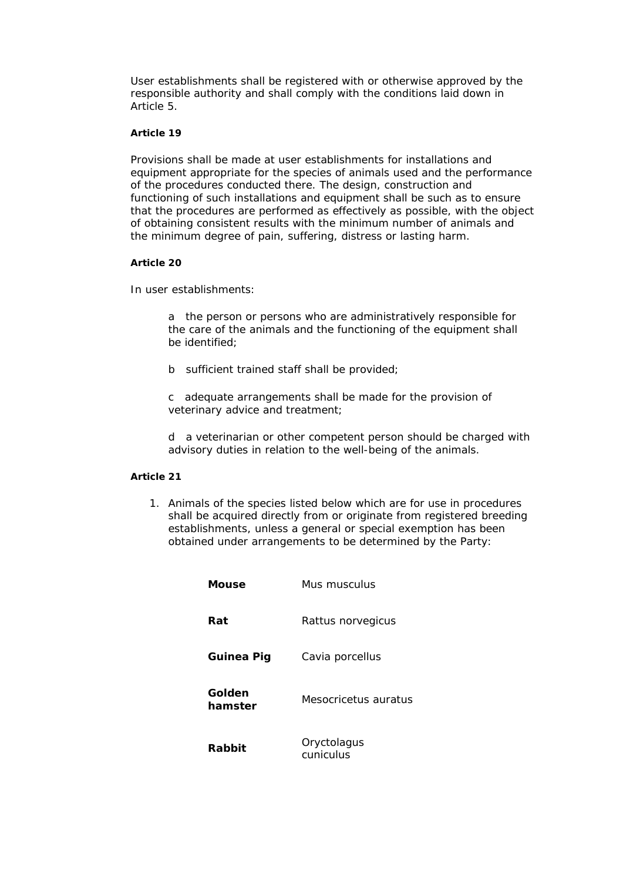User establishments shall be registered with or otherwise approved by the responsible authority and shall comply with the conditions laid down in Article 5.

## **Article 19**

Provisions shall be made at user establishments for installations and equipment appropriate for the species of animals used and the performance of the procedures conducted there. The design, construction and functioning of such installations and equipment shall be such as to ensure that the procedures are performed as effectively as possible, with the object of obtaining consistent results with the minimum number of animals and the minimum degree of pain, suffering, distress or lasting harm.

## **Article 20**

In user establishments:

a the person or persons who are administratively responsible for the care of the animals and the functioning of the equipment shall be identified;

b sufficient trained staff shall be provided;

c adequate arrangements shall be made for the provision of veterinary advice and treatment;

d a veterinarian or other competent person should be charged with advisory duties in relation to the well-being of the animals.

## **Article 21**

1. Animals of the species listed below which are for use in procedures shall be acquired directly from or originate from registered breeding establishments, unless a general or special exemption has been obtained under arrangements to be determined by the Party:

| Mouse             | Mus musculus                |
|-------------------|-----------------------------|
| Rat               | <i>Rattus norvegicus</i>    |
| Guinea Pig        | Cavia porcellus             |
| Golden<br>hamster | <i>Mesocricetus auratus</i> |
| Rabbit            | Oryctolagus<br>cuniculus    |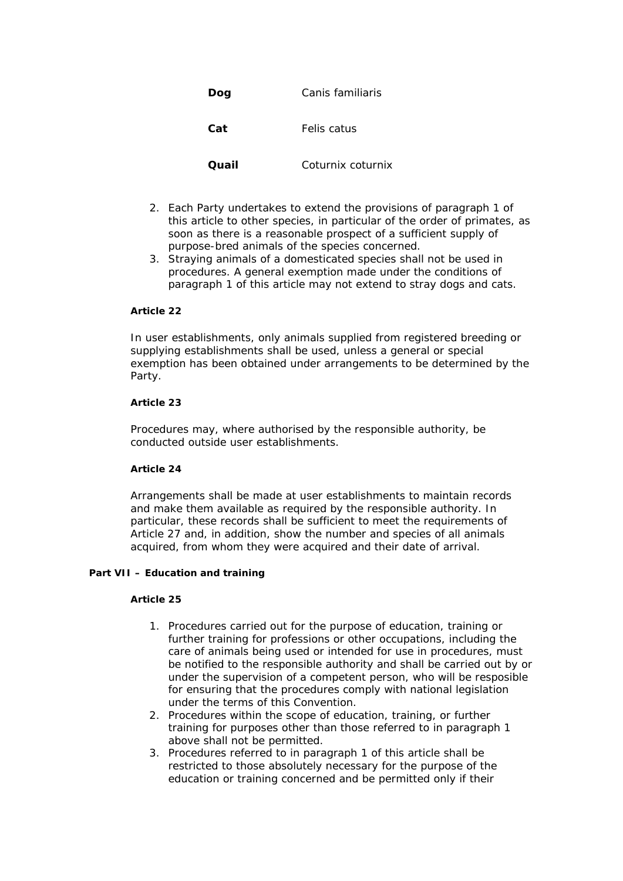| Dog   | Canis familiaris  |
|-------|-------------------|
| Cat   | Felis catus       |
| Quail | Coturnix coturnix |

- 2. Each Party undertakes to extend the provisions of paragraph 1 of this article to other species, in particular of the order of primates, as soon as there is a reasonable prospect of a sufficient supply of purpose-bred animals of the species concerned.
- 3. Straying animals of a domesticated species shall not be used in procedures. A general exemption made under the conditions of paragraph 1 of this article may not extend to stray dogs and cats.

#### **Article 22**

In user establishments, only animals supplied from registered breeding or supplying establishments shall be used, unless a general or special exemption has been obtained under arrangements to be determined by the Party.

## **Article 23**

Procedures may, where authorised by the responsible authority, be conducted outside user establishments.

## **Article 24**

Arrangements shall be made at user establishments to maintain records and make them available as required by the responsible authority. In particular, these records shall be sufficient to meet the requirements of Article 27 and, in addition, show the number and species of all animals acquired, from whom they were acquired and their date of arrival.

# **Part VII – Education and training**

- 1. Procedures carried out for the purpose of education, training or further training for professions or other occupations, including the care of animals being used or intended for use in procedures, must be notified to the responsible authority and shall be carried out by or under the supervision of a competent person, who will be resposible for ensuring that the procedures comply with national legislation under the terms of this Convention.
- 2. Procedures within the scope of education, training, or further training for purposes other than those referred to in paragraph 1 above shall not be permitted.
- 3. Procedures referred to in paragraph 1 of this article shall be restricted to those absolutely necessary for the purpose of the education or training concerned and be permitted only if their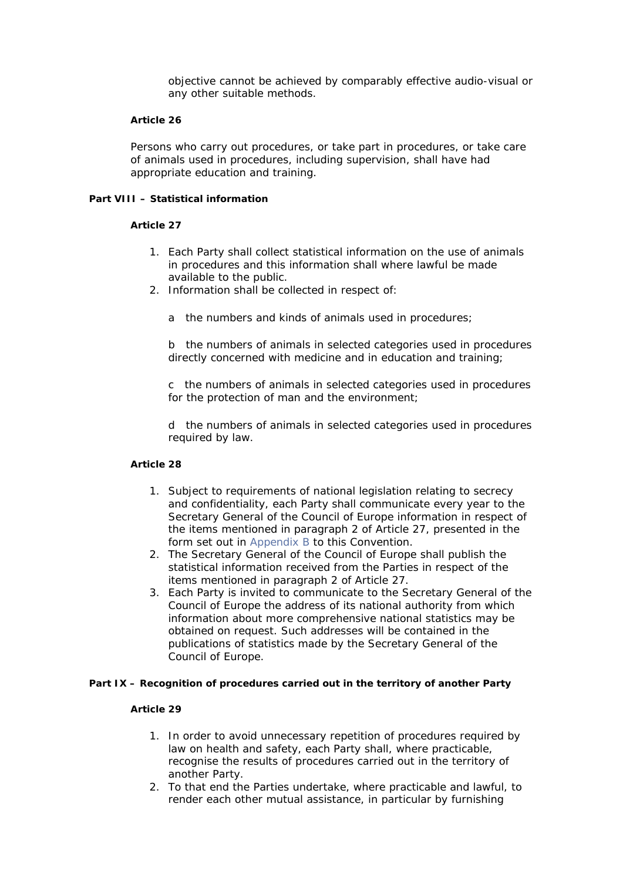objective cannot be achieved by comparably effective audio-visual or any other suitable methods.

#### **Article 26**

Persons who carry out procedures, or take part in procedures, or take care of animals used in procedures, including supervision, shall have had appropriate education and training.

#### **Part VIII – Statistical information**

#### **Article 27**

- 1. Each Party shall collect statistical information on the use of animals in procedures and this information shall where lawful be made available to the public.
- 2. Information shall be collected in respect of:
	- a the numbers and kinds of animals used in procedures;

b the numbers of animals in selected categories used in procedures directly concerned with medicine and in education and training;

c the numbers of animals in selected categories used in procedures for the protection of man and the environment;

d the numbers of animals in selected categories used in procedures required by law.

# **Article 28**

- 1. Subject to requirements of national legislation relating to secrecy and confidentiality, each Party shall communicate every year to the Secretary General of the Council of Europe information in respect of the items mentioned in paragraph 2 of Article 27, presented in the form set out in Appendix B to this Convention.
- 2. The Secretary General of the Council of Europe shall publish the statistical information received from the Parties in respect of the items mentioned in paragraph 2 of Article 27.
- 3. Each Party is invited to communicate to the Secretary General of the Council of Europe the address of its national authority from which information about more comprehensive national statistics may be obtained on request. Such addresses will be contained in the publications of statistics made by the Secretary General of the Council of Europe.

#### **Part IX – Recognition of procedures carried out in the territory of another Party**

- 1. In order to avoid unnecessary repetition of procedures required by law on health and safety, each Party shall, where practicable, recognise the results of procedures carried out in the territory of another Party.
- 2. To that end the Parties undertake, where practicable and lawful, to render each other mutual assistance, in particular by furnishing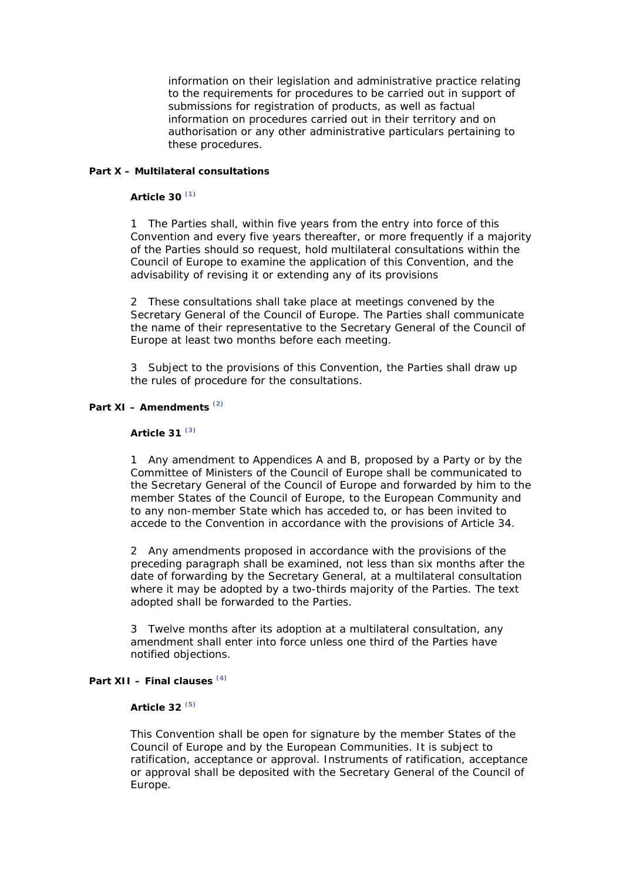information on their legislation and administrative practice relating to the requirements for procedures to be carried out in support of submissions for registration of products, as well as factual information on procedures carried out in their territory and on authorisation or any other administrative particulars pertaining to these procedures.

## **Part X – Multilateral consultations**

#### **Article 30 (1)**

1 The Parties shall, within five years from the entry into force of this Convention and every five years thereafter, or more frequently if a majority of the Parties should so request, hold multilateral consultations within the Council of Europe to examine the application of this Convention, and the advisability of revising it or extending any of its provisions

2 These consultations shall take place at meetings convened by the Secretary General of the Council of Europe. The Parties shall communicate the name of their representative to the Secretary General of the Council of Europe at least two months before each meeting.

3 Subject to the provisions of this Convention, the Parties shall draw up the rules of procedure for the consultations.

# **Part XI – Amendments (2)**

#### **Article 31 (3)**

1 Any amendment to Appendices A and B, proposed by a Party or by the Committee of Ministers of the Council of Europe shall be communicated to the Secretary General of the Council of Europe and forwarded by him to the member States of the Council of Europe, to the European Community and to any non-member State which has acceded to, or has been invited to accede to the Convention in accordance with the provisions of Article 34.

2 Any amendments proposed in accordance with the provisions of the preceding paragraph shall be examined, not less than six months after the date of forwarding by the Secretary General, at a multilateral consultation where it may be adopted by a two-thirds majority of the Parties. The text adopted shall be forwarded to the Parties.

3 Twelve months after its adoption at a multilateral consultation, any amendment shall enter into force unless one third of the Parties have notified objections.

# **Part XII – Final clauses (4)**

## **Article 32 (5)**

This Convention shall be open for signature by the member States of the Council of Europe and by the European Communities. It is subject to ratification, acceptance or approval. Instruments of ratification, acceptance or approval shall be deposited with the Secretary General of the Council of Europe.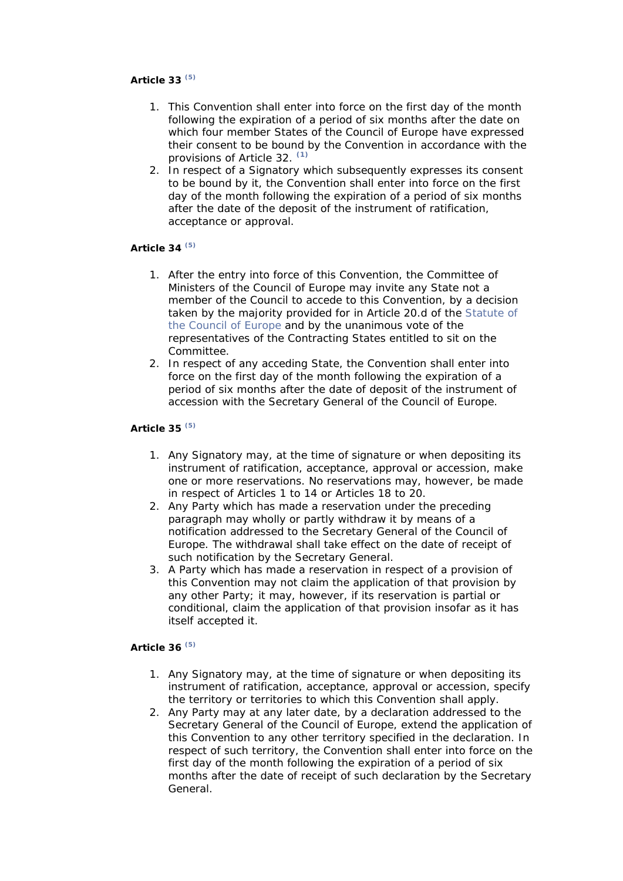## **Article 33 (5)**

- 1. This Convention shall enter into force on the first day of the month following the expiration of a period of six months after the date on which four member States of the Council of Europe have expressed their consent to be bound by the Convention in accordance with the provisions of Article 32. **(1)**
- 2. In respect of a Signatory which subsequently expresses its consent to be bound by it, the Convention shall enter into force on the first day of the month following the expiration of a period of six months after the date of the deposit of the instrument of ratification, acceptance or approval.

# **Article 34 (5)**

- 1. After the entry into force of this Convention, the Committee of Ministers of the Council of Europe may invite any State not a member of the Council to accede to this Convention, by a decision taken by the majority provided for in Article 20.d of the Statute of the Council of Europe and by the unanimous vote of the representatives of the Contracting States entitled to sit on the Committee.
- 2. In respect of any acceding State, the Convention shall enter into force on the first day of the month following the expiration of a period of six months after the date of deposit of the instrument of accession with the Secretary General of the Council of Europe.

## **Article 35 (5)**

- 1. Any Signatory may, at the time of signature or when depositing its instrument of ratification, acceptance, approval or accession, make one or more reservations. No reservations may, however, be made in respect of Articles 1 to 14 or Articles 18 to 20.
- 2. Any Party which has made a reservation under the preceding paragraph may wholly or partly withdraw it by means of a notification addressed to the Secretary General of the Council of Europe. The withdrawal shall take effect on the date of receipt of such notification by the Secretary General.
- 3. A Party which has made a reservation in respect of a provision of this Convention may not claim the application of that provision by any other Party; it may, however, if its reservation is partial or conditional, claim the application of that provision insofar as it has itself accepted it.

## **Article 36 (5)**

- 1. Any Signatory may, at the time of signature or when depositing its instrument of ratification, acceptance, approval or accession, specify the territory or territories to which this Convention shall apply.
- 2. Any Party may at any later date, by a declaration addressed to the Secretary General of the Council of Europe, extend the application of this Convention to any other territory specified in the declaration. In respect of such territory, the Convention shall enter into force on the first day of the month following the expiration of a period of six months after the date of receipt of such declaration by the Secretary General.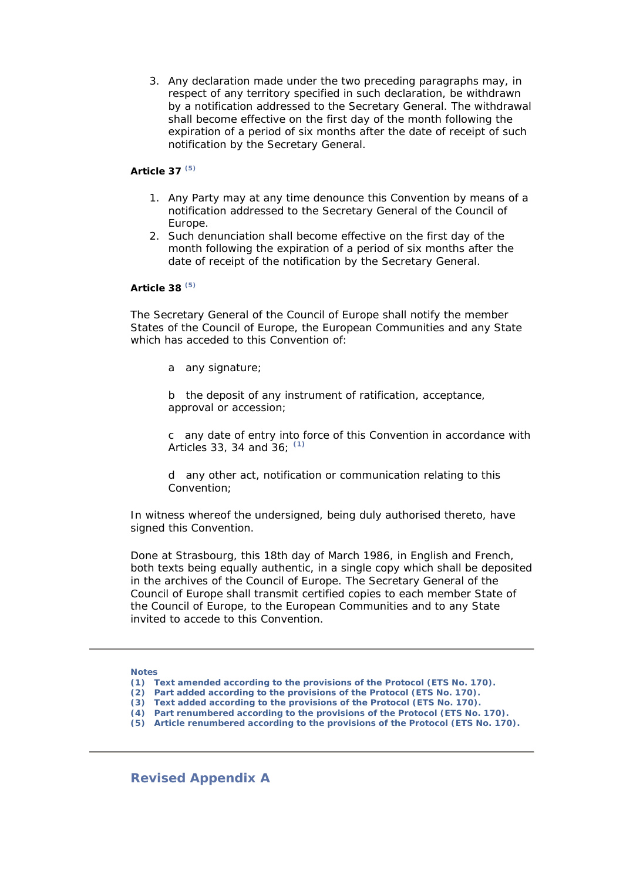3. Any declaration made under the two preceding paragraphs may, in respect of any territory specified in such declaration, be withdrawn by a notification addressed to the Secretary General. The withdrawal shall become effective on the first day of the month following the expiration of a period of six months after the date of receipt of such notification by the Secretary General.

#### **Article 37 (5)**

- 1. Any Party may at any time denounce this Convention by means of a notification addressed to the Secretary General of the Council of Europe.
- 2. Such denunciation shall become effective on the first day of the month following the expiration of a period of six months after the date of receipt of the notification by the Secretary General.

## **Article 38 (5)**

The Secretary General of the Council of Europe shall notify the member States of the Council of Europe, the European Communities and any State which has acceded to this Convention of:

a any signature;

b the deposit of any instrument of ratification, acceptance, approval or accession;

c any date of entry into force of this Convention in accordance with Articles 33, 34 and 36; **(1)**

d any other act, notification or communication relating to this Convention;

In witness whereof the undersigned, being duly authorised thereto, have signed this Convention.

Done at Strasbourg, this 18th day of March 1986, in English and French, both texts being equally authentic, in a single copy which shall be deposited in the archives of the Council of Europe. The Secretary General of the Council of Europe shall transmit certified copies to each member State of the Council of Europe, to the European Communities and to any State invited to accede to this Convention.

#### **Notes**

- **(1) Text amended according to the provisions of the Protocol (ETS No. 170).**
- **(2) Part added according to the provisions of the Protocol (ETS No. 170).**
- **(3) Text added according to the provisions of the Protocol (ETS No. 170).**
- **(4) Part renumbered according to the provisions of the Protocol (ETS No. 170).**

**(5) Article renumbered according to the provisions of the Protocol (ETS No. 170).** 

**Revised Appendix A**